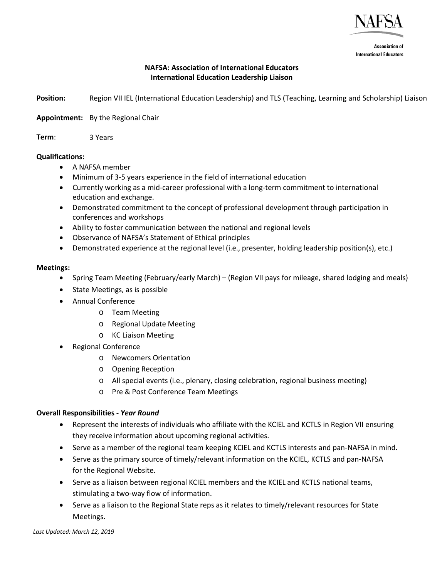

**Association of International Educators** 

## **NAFSA: Association of International Educators International Education Leadership Liaison**

Region VII IEL (International Education Leadership) and TLS (Teaching, Learning and Scholarship) Liaison **Position:** 

Appointment: By the Regional Chair

3 Years **Term**:

#### **Qualifications:**

- A NAFSA member
- Minimum of 3-5 years experience in the field of international education
- Currently working as a mid-career professional with a long-term commitment to international education and exchange.
- Demonstrated commitment to the concept of professional development through participation in conferences and workshops
- Ability to foster communication between the national and regional levels
- Observance of NAFSA's Statement of Ethical principles
- Demonstrated experience at the regional level (i.e., presenter, holding leadership position(s), etc.)

#### **Meetings:**

- Spring Team Meeting (February/early March) (Region VII pays for mileage, shared lodging and meals)
- State Meetings, as is possible
- Annual Conference
	- o Team Meeting
	- o Regional Update Meeting
	- o KC Liaison Meeting
- Regional Conference
	- o Newcomers Orientation
	- o Opening Reception
	- o All special events (i.e., plenary, closing celebration, regional business meeting)
	- o Pre & Post Conference Team Meetings

### **Overall Responsibilities** *- Year Round*

- Represent the interests of individuals who affiliate with the KCIEL and KCTLS in Region VII ensuring they receive information about upcoming regional activities.
- Serve as a member of the regional team keeping KCIEL and KCTLS interests and pan-NAFSA in mind.
- Serve as the primary source of timely/relevant information on the KCIEL, KCTLS and pan-NAFSA for the Regional Website.
- Serve as a liaison between regional KCIEL members and the KCIEL and KCTLS national teams, stimulating a two-way flow of information.
- Serve as a liaison to the Regional State reps as it relates to timely/relevant resources for State Meetings.

*Last Updated: March 12, 2019*